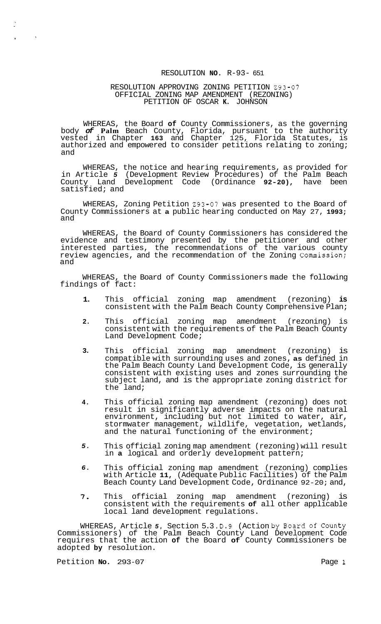### RESOLUTION **NO.** R-93- 651

#### RESOLUTION APPROVING ZONING PETITION 293-07 PETITION OF OSCAR **K.** JOHNSON OFFICIAL ZONING MAP AMENDMENT (REZONING)

WHEREAS, the Board **of** County Commissioners, as the governing body *of* **Palm** Beach County, Florida, pursuant to the authority vested in Chapter **163** and Chapter 125, Florida Statutes, is authorized and empowered to consider petitions relating to zoning; and

WHEREAS, the notice and hearing requirements, as provided for in Article *5* (Development Review Procedures) of the Palm Beach County Land Development Code (Ordinance **92-20),** have been satisfied; and

WHEREAS, Zoning Petition 293-07 was presented to the Board of County Commissioners at **a** public hearing conducted on May 27, **1993;**  and

WHEREAS, the Board of County Commissioners has considered the evidence and testimony presented by the petitioner and other interested parties, the recommendations of the various county review agencies, and the recommendation of the Zoning Commission; and

WHEREAS, the Board of County Commissioners made the following findings of fact:

- **1.**  This official zoning map amendment (rezoning) **is**  consistent with the Palm Beach County Comprehensive Plan;
- **2.**  This official zoning map amendment (rezoning) is consistent with the requirements of the Palm Beach County Land Development Code;
- **3.**  This official zoning map amendment (rezoning) is compatible with surrounding uses and zones, **as** defined in the Palm Beach County Land Development Code, is generally consistent with existing uses and zones surrounding the subject land, and is the appropriate zoning district for the land;
- **4.**  This official zoning map amendment (rezoning) does not result in significantly adverse impacts on the natural environment, including but not limited to water, air, stormwater management, wildlife, vegetation, wetlands, and the natural functioning of the environment;
- *5.*  This official zoning map amendment (rezoning) will result in **a** logical and orderly development pattern;
- *6.*  This official zoning map amendment (rezoning) complies with Article **11,** (Adequate Public Facilities) of the Palm Beach County Land Development Code, Ordinance 92-20; and,
- *7.*  This official zoning map amendment (rezoning) consistent with the requirements **of** all other applicable local land development regulations.

WHEREAS, Article *5,* Section 5.3 .D.9 (Action by Board of County Commissioners) of the Palm Beach County Land Development Code requires that the action **of** the Board **of** County Commissioners be adopted **by** resolution.

Petition **No.** 293-07 Page **1** 

 $\langle \rangle$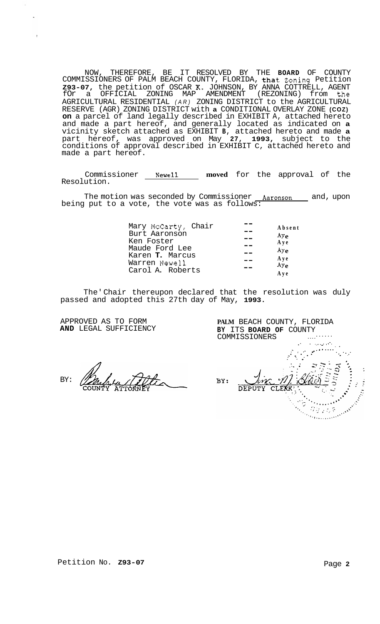NOW, THEREFORE, BE IT RESOLVED BY THE BOARD OF COUNTY<br>COMMISSIONERS OF PALM BEACH COUNTY, FLORIDA, that Zoning Petition<br>**Z93-07,** the petition of OSCAR K. JOHNSON, BY ANNA COTTRELL, AGENT<br>for a OFFICIAL ZONING MAP AMENDMEN AGRICULTURAL RESIDENTIAL (AR) ZONING DISTRICT to the AGRICULTURAL RESERVE (AGR) ZONING DISTRICT with a CONDITIONAL OVERLAY ZONE (COZ) on a parcel of land legally described in EXHIBIT A, attached hereto and made a part hereof, and generally located as indicated on **a** vicinity sketch attached as EXHIBIT **B**, attached hereto and made **a** part hereof, was a made a part hereof.

Commissioner Newell moved for the approval of the Resolution.

The motion was seconded by Commissioner Aaronson and, upon being put to a vote, the vote was as follows:

| Mary McCarty, Chair | Absent          |
|---------------------|-----------------|
| Burt Aaronson       | Ay <sub>e</sub> |
| Ken Foster          | A y e           |
| Maude Ford Lee      | Ay <sub>e</sub> |
| Karen T. Marcus     |                 |
| Warren Newell       | Aye<br>Aye      |
| Carol A. Roberts    | A y e           |
|                     |                 |

The Chair thereupon declared that the resolution was duly passed and adopted this 27th day of May, 1993.

APPROVED AS TO FORM AND LEGAL SUFFICIENCY

BY:

PALM BEACH COUNTY, FLORIDA BY ITS BOARD OF COUNTY COMMISSIONERS ال المركز المحافظة المحافظة المحافظة المحافظة المحافظة المحافظة المحافظة المحافظة المحافظة المحافظة المحافظة ا<br>المحافظة المحافظة المحافظة المحافظة المحافظة المحافظة المحافظة المحافظة المحافظة المحافظة المحافظة المحافظة ال  $0.210$ BY: DEPUT'  $\mathcal{G} \otimes_{\mathbb{Z}} \mathbb{Z}/3$  $\mathcal{L}_{\text{GUT}}$  , and  $\mathcal{L}_{\text{GUT}}$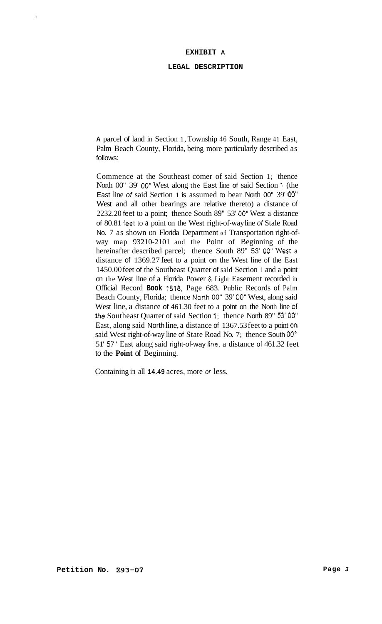#### **EXHIBIT A**

#### **LEGAL DESCRIPTION**

**A** parcel of land in Section 1, Township 46 South, Range 41 East, Palm Beach County, Florida, being more particularly described as follows:

Commence at the Southeast comer of said Section 1; thence North 00" 39' 00" West along the East line of said Section 1 (the East line *of* said Section 1 is assumed to bear North 00" 39' 00" West and all other bearings are relative thereto) a distance *of*  2232.20 feet to a point; thence South 89" 53' 00" West a distance of 80.81 feet to a point on the West right-of-way line *of* Stale Road No. 7 as shown on Florida Department **of** Transportation right-ofway map 93210-2101 and the Point of Beginning of the hereinafter described parcel; thence South 89" 53' 00" West a distance of 1369.27 feet to a point on the West line of the East 1450.00 feet of the Southeast Quarter of said Section 1 and a point on the West line of a Florida Power & Light Easement recorded in Official Record **Book 1878,** Page 683. Public Records of Palm Beach County, Florida; thence North 00" 39' 00" West, along said West line, a distance of 461.30 feet to a point on the North line of !he Southeast Quarter of said Section 1; thence North 89" 53' 00" East, along said North line, a distance of 1367.53 feet to a point On said West right-of-way line of State Road No. 7; thence South 00<sup>°</sup> 51' 57" East along said right-of-way line, a distance of 461.32 feet to the **Point** of Beginning.

Containing in all **14.49** acres, more *or* less.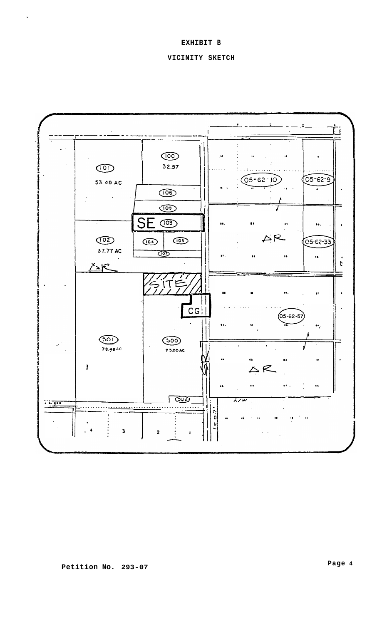## EXHIBIT B

# VICINITY SKETCH

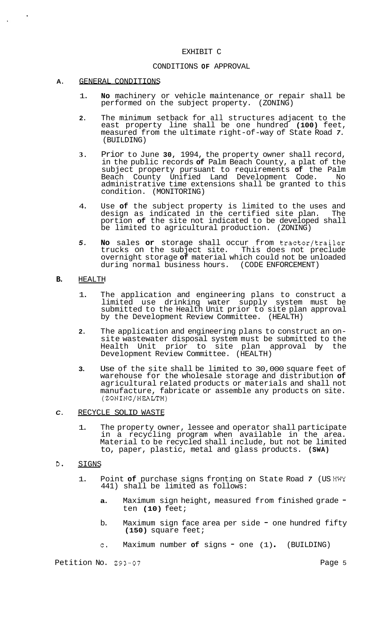#### EXHIBIT C

### CONDITIONS **OF** APPROVAL

#### **A.** GENERAL CONDITIONS

- 1. **No** machinery or vehicle maintenance or repair shall be performed on the subject property. (ZONING)
- **2.** The minimum setback for all structures adjacent to the east property line shall be one hundred **(100)** feet, measured from the ultimate right-of-way of State Road *7.*  (BUILDING)
- **3.** Prior to June **30,** 1994, the property owner shall record, in the public records **of** Palm Beach County, a plat of the subject property pursuant to requirements **of** the Palm Beach County Unified Land Development Code. No administrative time extensions shall be granted to this condition. (MONITORING)
- 4. Use **of** the subject property is limited to the uses and design as indicated in the certified site plan. The portion **of** the site not indicated to be developed shall be limited to agricultural production. (ZONING)
- 5. **No** sales or storage shall occur from tractor/trailer trucks on the subject site. This does not preclude overnight storage **of** material which could not be unloaded during normal business hours. (CODE ENFORCEMENT)

### **B.** HEALTH

- 1. The application and engineering plans to construct a limited use drinking water supply system must be submitted to the Health Unit prior to site plan approval by the Development Review Committee. (HEALTH)
- **2.** The application and engineering plans to construct an on- site wastewater disposal system must be submitted to the prior to site plan approval by the Development Review Committee. (HEALTH)
- **3.** Use of the site shall be limited to 30,000 square feet of warehouse for the wholesale storage and distribution **of**  agricultural related products or materials and shall not manufacture, fabricate or assemble any products on site. (ZONING/HEALTH)
- C. RECYCLE SOLID WASTE
	- 1. The property owner, lessee and operator shall participate in a recycling program when available in the area. Material to be recycled shall include, but not be limited to, paper, plastic, metal and glass products. **(SWA)**
- **D.** SIGNS
	- 1. Point **of** purchase signs fronting on State Road *7* (US **HWY**  441) shall be limited as follows:
		- **a.** Maximum sign height, measured from finished grade  $=$ ten **(10)** feet;
		- b. Maximum sign face area per side one hundred fifty **(150)** square feet;
		- c. Maximum number **of** signs one (1) . (BUILDING)